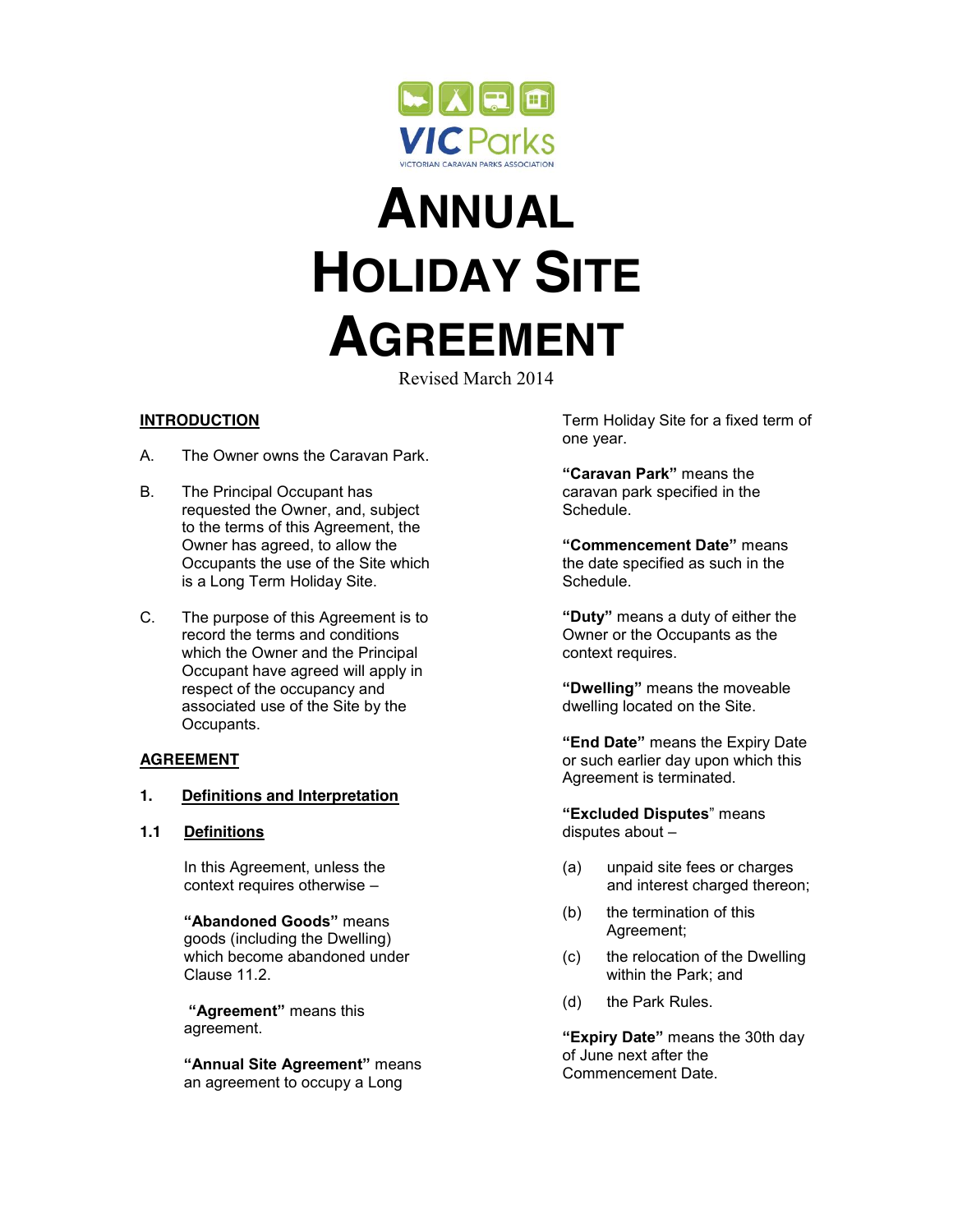

# **ANNUAL HOLIDAY SITE AGREEMENT**

Revised March 2014

# **INTRODUCTION**

- A. The Owner owns the Caravan Park.
- B. The Principal Occupant has requested the Owner, and, subject to the terms of this Agreement, the Owner has agreed, to allow the Occupants the use of the Site which is a Long Term Holiday Site.
- C. The purpose of this Agreement is to record the terms and conditions which the Owner and the Principal Occupant have agreed will apply in respect of the occupancy and associated use of the Site by the Occupants.

# **AGREEMENT**

## **1. Definitions and Interpretation**

**1.1 Definitions**

In this Agreement, unless the context requires otherwise –

**"Abandoned Goods"** means goods (including the Dwelling) which become abandoned under Clause 11.2.

**"Agreement"** means this agreement.

**"Annual Site Agreement"** means an agreement to occupy a Long

Term Holiday Site for a fixed term of one year.

**"Caravan Park"** means the caravan park specified in the Schedule.

**"Commencement Date"** means the date specified as such in the Schedule.

**"Duty"** means a duty of either the Owner or the Occupants as the context requires.

**"Dwelling"** means the moveable dwelling located on the Site.

**"End Date"** means the Expiry Date or such earlier day upon which this Agreement is terminated.

**"Excluded Disputes**" means disputes about –

- (a) unpaid site fees or charges and interest charged thereon;
- (b) the termination of this Agreement;
- (c) the relocation of the Dwelling within the Park; and
- (d) the Park Rules.

**"Expiry Date"** means the 30th day of June next after the Commencement Date.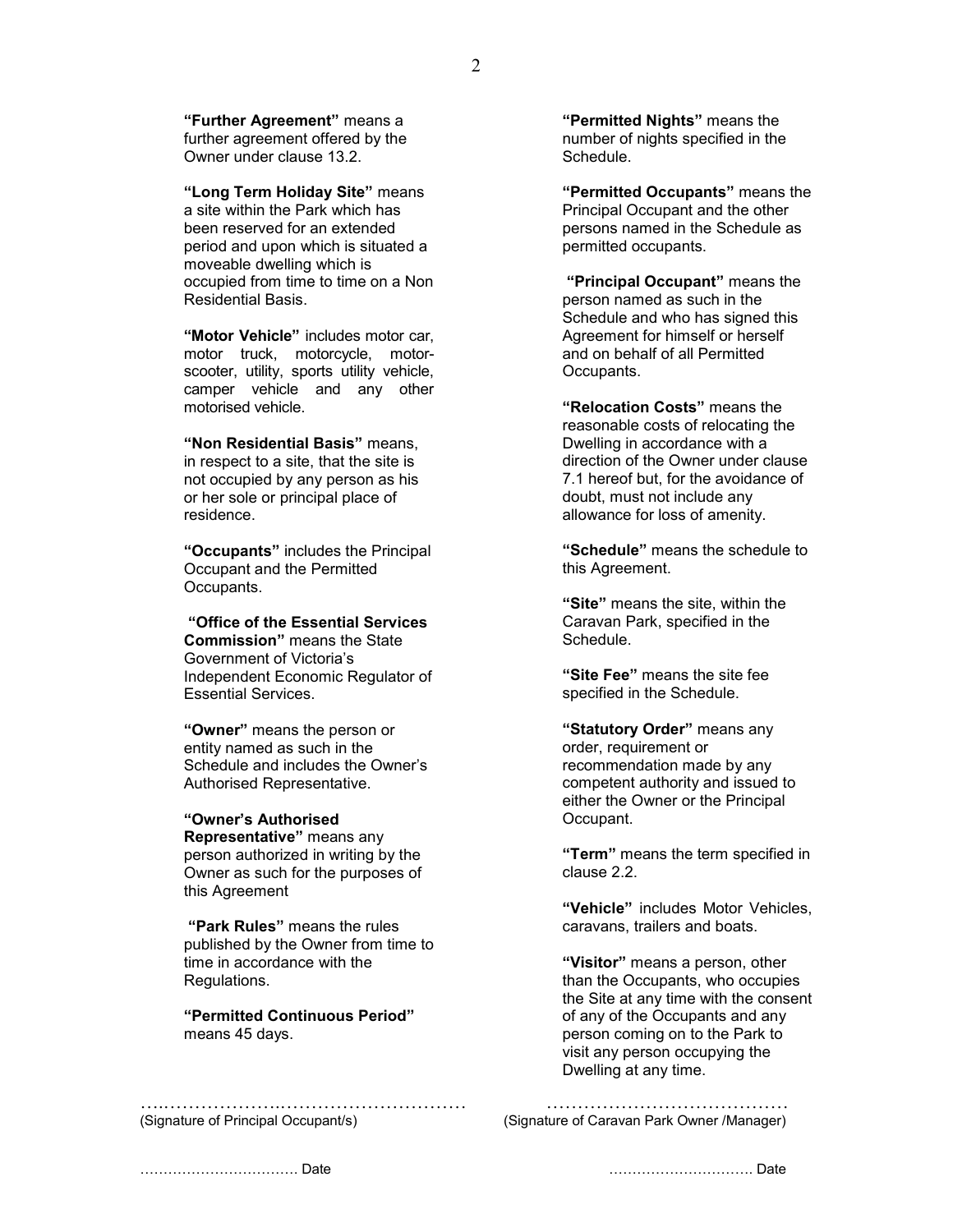**"Further Agreement"** means a further agreement offered by the Owner under clause 13.2.

**"Long Term Holiday Site"** means a site within the Park which has been reserved for an extended period and upon which is situated a moveable dwelling which is occupied from time to time on a Non Residential Basis.

**"Motor Vehicle"** includes motor car, motor truck, motorcycle, motorscooter, utility, sports utility vehicle, camper vehicle and any other motorised vehicle.

**"Non Residential Basis"** means, in respect to a site, that the site is not occupied by any person as his or her sole or principal place of residence.

**"Occupants"** includes the Principal Occupant and the Permitted Occupants.

**"Office of the Essential Services Commission"** means the State Government of Victoria's Independent Economic Regulator of Essential Services.

**"Owner"** means the person or entity named as such in the Schedule and includes the Owner's Authorised Representative.

**"Owner's Authorised Representative"** means any person authorized in writing by the Owner as such for the purposes of this Agreement

**"Park Rules"** means the rules published by the Owner from time to time in accordance with the Regulations.

**"Permitted Continuous Period"** means 45 days.

….……………….………………………… …………………………………

**"Permitted Nights"** means the number of nights specified in the Schedule.

**"Permitted Occupants"** means the Principal Occupant and the other persons named in the Schedule as permitted occupants.

**"Principal Occupant"** means the person named as such in the Schedule and who has signed this Agreement for himself or herself and on behalf of all Permitted Occupants.

**"Relocation Costs"** means the reasonable costs of relocating the Dwelling in accordance with a direction of the Owner under clause 7.1 hereof but, for the avoidance of doubt, must not include any allowance for loss of amenity.

**"Schedule"** means the schedule to this Agreement.

**"Site"** means the site, within the Caravan Park, specified in the Schedule.

**"Site Fee"** means the site fee specified in the Schedule.

**"Statutory Order"** means any order, requirement or recommendation made by any competent authority and issued to either the Owner or the Principal Occupant.

**"Term"** means the term specified in clause 2.2.

**"Vehicle"** includes Motor Vehicles, caravans, trailers and boats.

**"Visitor"** means a person, other than the Occupants, who occupies the Site at any time with the consent of any of the Occupants and any person coming on to the Park to visit any person occupying the Dwelling at any time.

(Signature of Principal Occupant/s) (Signature of Caravan Park Owner /Manager)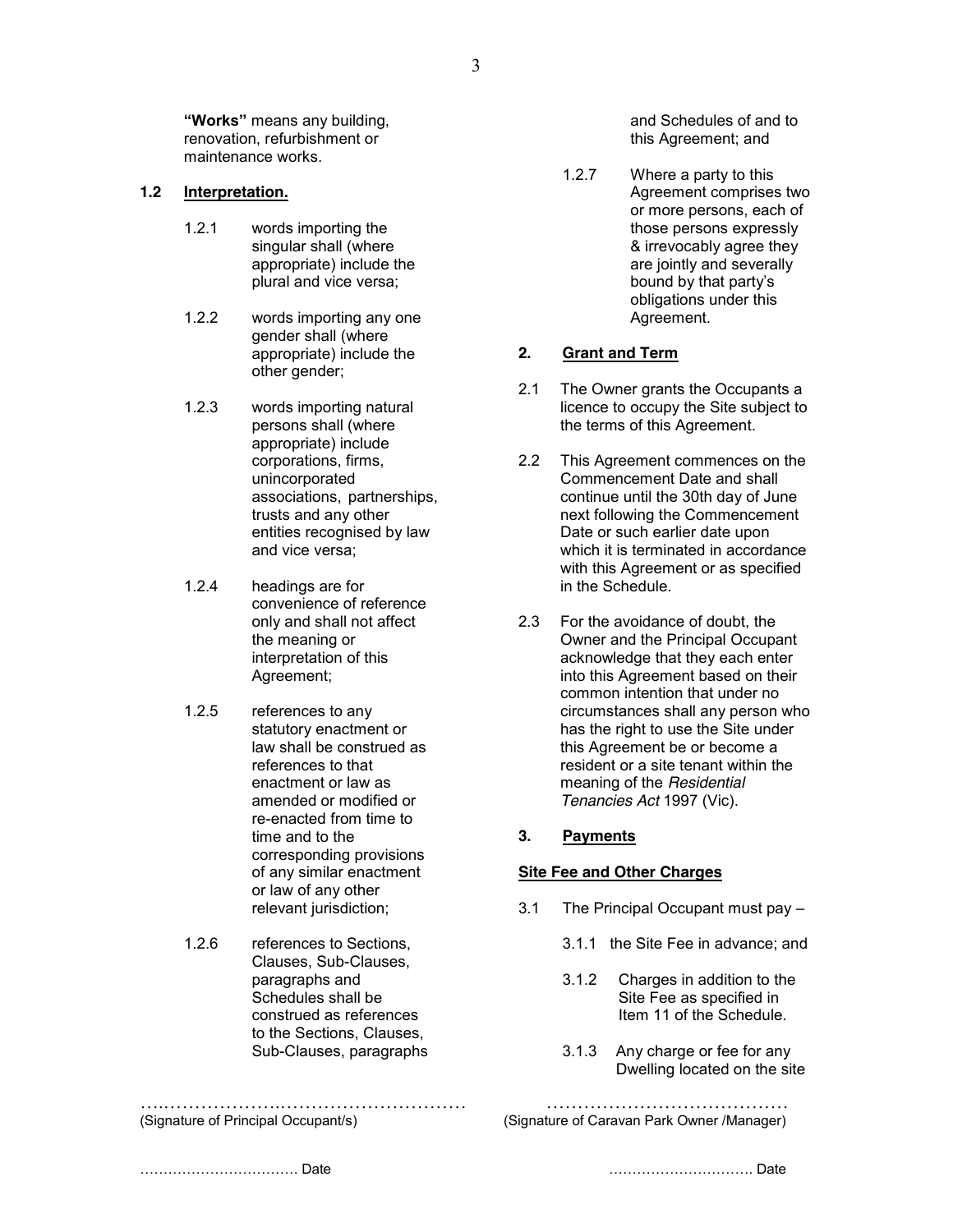**"Works"** means any building, renovation, refurbishment or maintenance works.

#### **1.2 Interpretation.**

- 1.2.1 words importing the singular shall (where appropriate) include the plural and vice versa;
- 1.2.2 words importing any one gender shall (where appropriate) include the other gender;
- 1.2.3 words importing natural persons shall (where appropriate) include corporations, firms, unincorporated associations, partnerships, trusts and any other entities recognised by law and vice versa;
- 1.2.4 headings are for convenience of reference only and shall not affect the meaning or interpretation of this Agreement;
- 1.2.5 references to any statutory enactment or law shall be construed as references to that enactment or law as amended or modified or re-enacted from time to time and to the corresponding provisions of any similar enactment or law of any other relevant jurisdiction;
- 1.2.6 references to Sections, Clauses, Sub-Clauses, paragraphs and Schedules shall be construed as references to the Sections, Clauses, Sub-Clauses, paragraphs

….……………….………………………… …………………………………

and Schedules of and to this Agreement; and

1.2.7 Where a party to this Agreement comprises two or more persons, each of those persons expressly & irrevocably agree they are jointly and severally bound by that party's obligations under this Agreement.

#### **2. Grant and Term**

- 2.1 The Owner grants the Occupants a licence to occupy the Site subject to the terms of this Agreement.
- 2.2 This Agreement commences on the Commencement Date and shall continue until the 30th day of June next following the Commencement Date or such earlier date upon which it is terminated in accordance with this Agreement or as specified in the Schedule.
- 2.3 For the avoidance of doubt, the Owner and the Principal Occupant acknowledge that they each enter into this Agreement based on their common intention that under no circumstances shall any person who has the right to use the Site under this Agreement be or become a resident or a site tenant within the meaning of the *Residential Tenancies Act* 1997 (Vic).

#### **3. Payments**

## **Site Fee and Other Charges**

- 3.1 The Principal Occupant must pay
	- 3.1.1 the Site Fee in advance; and
	- 3.1.2 Charges in addition to the Site Fee as specified in Item 11 of the Schedule.
	- 3.1.3 Any charge or fee for any Dwelling located on the site

(Signature of Principal Occupant/s) (Signature of Caravan Park Owner /Manager)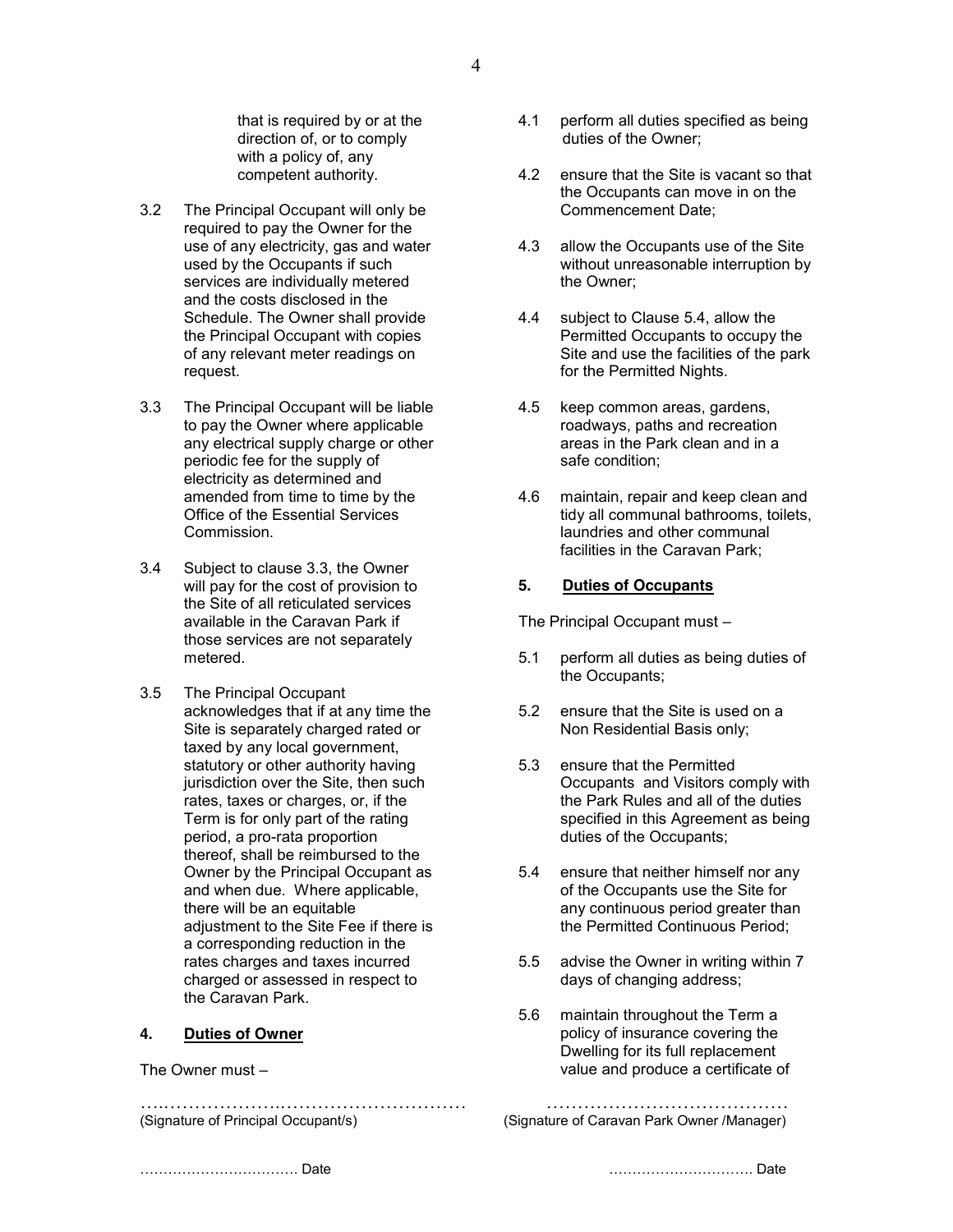that is required by or at the direction of, or to comply with a policy of, any competent authority.

- 3.2 The Principal Occupant will only be required to pay the Owner for the use of any electricity, gas and water used by the Occupants if such services are individually metered and the costs disclosed in the Schedule. The Owner shall provide the Principal Occupant with copies of any relevant meter readings on request.
- 3.3 The Principal Occupant will be liable to pay the Owner where applicable any electrical supply charge or other periodic fee for the supply of electricity as determined and amended from time to time by the Office of the Essential Services Commission.
- 3.4 Subject to clause 3.3, the Owner will pay for the cost of provision to the Site of all reticulated services available in the Caravan Park if those services are not separately metered.
- 3.5 The Principal Occupant acknowledges that if at any time the Site is separately charged rated or taxed by any local government. statutory or other authority having jurisdiction over the Site, then such rates, taxes or charges, or, if the Term is for only part of the rating period, a pro-rata proportion thereof, shall be reimbursed to the Owner by the Principal Occupant as and when due. Where applicable, there will be an equitable adjustment to the Site Fee if there is a corresponding reduction in the rates charges and taxes incurred charged or assessed in respect to the Caravan Park.

#### **4. Duties of Owner**

The Owner must –

….……………….………………………… …………………………………

- 4.1 perform all duties specified as being duties of the Owner;
- 4.2 ensure that the Site is vacant so that the Occupants can move in on the Commencement Date;
- 4.3 allow the Occupants use of the Site without unreasonable interruption by the Owner;
- 4.4 subject to Clause 5.4, allow the Permitted Occupants to occupy the Site and use the facilities of the park for the Permitted Nights.
- 4.5 keep common areas, gardens, roadways, paths and recreation areas in the Park clean and in a safe condition;
- 4.6 maintain, repair and keep clean and tidy all communal bathrooms, toilets, laundries and other communal facilities in the Caravan Park;

#### **5. Duties of Occupants**

The Principal Occupant must –

- 5.1 perform all duties as being duties of the Occupants;
- 5.2 ensure that the Site is used on a Non Residential Basis only;
- 5.3 ensure that the Permitted Occupants and Visitors comply with the Park Rules and all of the duties specified in this Agreement as being duties of the Occupants;
- 5.4 ensure that neither himself nor any of the Occupants use the Site for any continuous period greater than the Permitted Continuous Period;
- 5.5 advise the Owner in writing within 7 days of changing address;
- 5.6 maintain throughout the Term a policy of insurance covering the Dwelling for its full replacement value and produce a certificate of

```
(Signature of Principal Occupant/s) (Signature of Caravan Park Owner /Manager)
```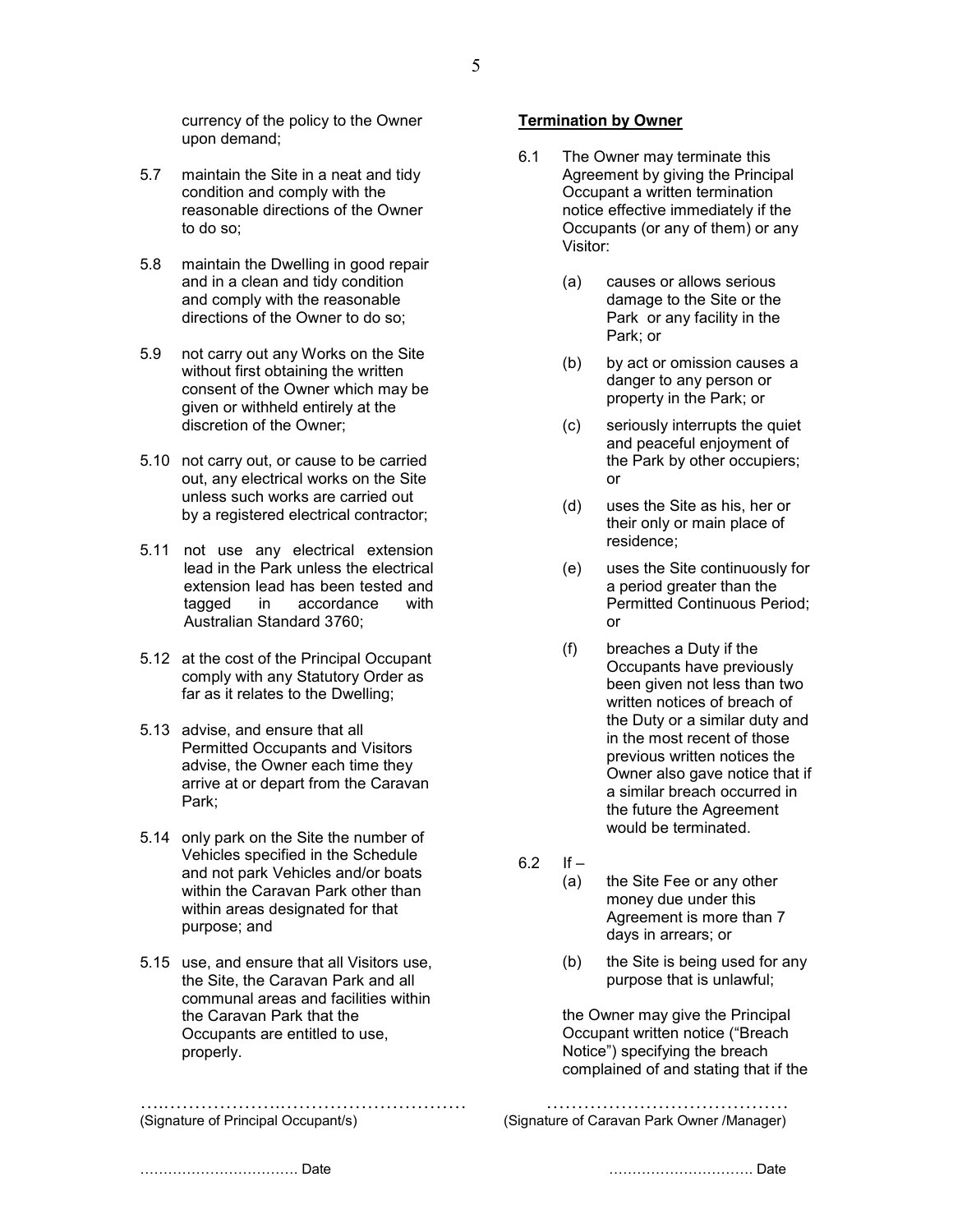currency of the policy to the Owner upon demand;

- 5.7 maintain the Site in a neat and tidy condition and comply with the reasonable directions of the Owner to do so;
- 5.8 maintain the Dwelling in good repair and in a clean and tidy condition and comply with the reasonable directions of the Owner to do so;
- 5.9 not carry out any Works on the Site without first obtaining the written consent of the Owner which may be given or withheld entirely at the discretion of the Owner;
- 5.10 not carry out, or cause to be carried out, any electrical works on the Site unless such works are carried out by a registered electrical contractor;
- 5.11 not use any electrical extension lead in the Park unless the electrical extension lead has been tested and tagged in accordance with Australian Standard 3760;
- 5.12 at the cost of the Principal Occupant comply with any Statutory Order as far as it relates to the Dwelling;
- 5.13 advise, and ensure that all Permitted Occupants and Visitors advise, the Owner each time they arrive at or depart from the Caravan Park;
- 5.14 only park on the Site the number of Vehicles specified in the Schedule and not park Vehicles and/or boats within the Caravan Park other than within areas designated for that purpose; and
- 5.15 use, and ensure that all Visitors use, the Site, the Caravan Park and all communal areas and facilities within the Caravan Park that the Occupants are entitled to use, properly.

….……………….………………………… …………………………………

## **Termination by Owner**

- 6.1 The Owner may terminate this Agreement by giving the Principal Occupant a written termination notice effective immediately if the Occupants (or any of them) or any Visitor:
	- (a) causes or allows serious damage to the Site or the Park or any facility in the Park; or
	- (b) by act or omission causes a danger to any person or property in the Park; or
	- (c) seriously interrupts the quiet and peaceful enjoyment of the Park by other occupiers; or
	- (d) uses the Site as his, her or their only or main place of residence;
	- (e) uses the Site continuously for a period greater than the Permitted Continuous Period; or
	- (f) breaches a Duty if the Occupants have previously been given not less than two written notices of breach of the Duty or a similar duty and in the most recent of those previous written notices the Owner also gave notice that if a similar breach occurred in the future the Agreement would be terminated.
- $6.2$  If
	- (a) the Site Fee or any other money due under this Agreement is more than 7 days in arrears; or
	- (b) the Site is being used for any purpose that is unlawful;

the Owner may give the Principal Occupant written notice ("Breach Notice") specifying the breach complained of and stating that if the

(Signature of Principal Occupant/s) (Signature of Caravan Park Owner /Manager)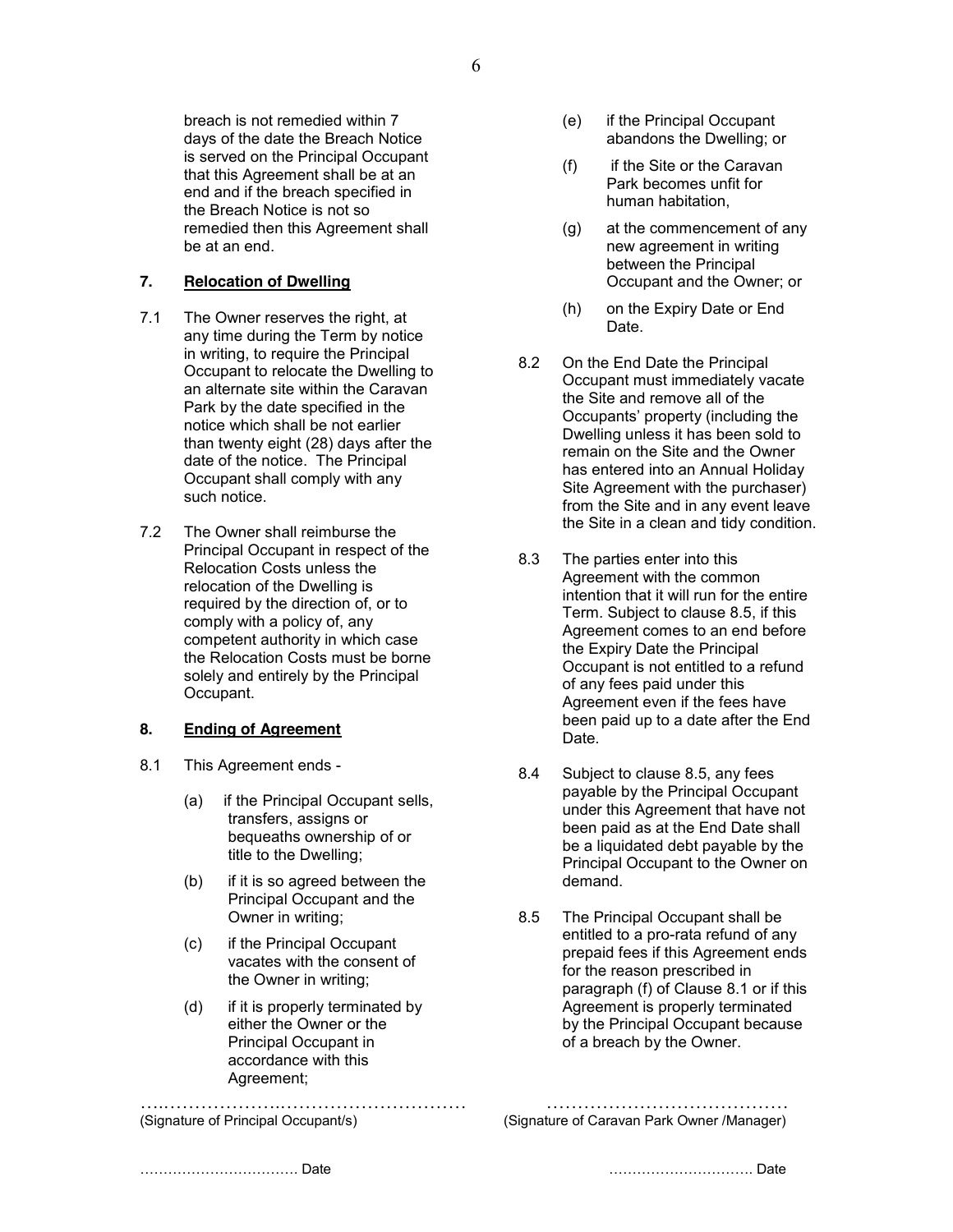breach is not remedied within 7 days of the date the Breach Notice is served on the Principal Occupant that this Agreement shall be at an end and if the breach specified in the Breach Notice is not so remedied then this Agreement shall be at an end.

## **7. Relocation of Dwelling**

- 7.1 The Owner reserves the right, at any time during the Term by notice in writing, to require the Principal Occupant to relocate the Dwelling to an alternate site within the Caravan Park by the date specified in the notice which shall be not earlier than twenty eight (28) days after the date of the notice. The Principal Occupant shall comply with any such notice.
- 7.2 The Owner shall reimburse the Principal Occupant in respect of the Relocation Costs unless the relocation of the Dwelling is required by the direction of, or to comply with a policy of, any competent authority in which case the Relocation Costs must be borne solely and entirely by the Principal Occupant.

#### **8. Ending of Agreement**

- 8.1 This Agreement ends
	- (a) if the Principal Occupant sells, transfers, assigns or bequeaths ownership of or title to the Dwelling;
	- (b) if it is so agreed between the Principal Occupant and the Owner in writing;
	- (c) if the Principal Occupant vacates with the consent of the Owner in writing;
	- (d) if it is properly terminated by either the Owner or the Principal Occupant in accordance with this Agreement;

- (e) if the Principal Occupant abandons the Dwelling; or
- (f) if the Site or the Caravan Park becomes unfit for human habitation,
- (g) at the commencement of any new agreement in writing between the Principal Occupant and the Owner; or
- (h) on the Expiry Date or End Date.
- 8.2 On the End Date the Principal Occupant must immediately vacate the Site and remove all of the Occupants' property (including the Dwelling unless it has been sold to remain on the Site and the Owner has entered into an Annual Holiday Site Agreement with the purchaser) from the Site and in any event leave the Site in a clean and tidy condition.
- 8.3 The parties enter into this Agreement with the common intention that it will run for the entire Term. Subject to clause 8.5, if this Agreement comes to an end before the Expiry Date the Principal Occupant is not entitled to a refund of any fees paid under this Agreement even if the fees have been paid up to a date after the End Date.
- 8.4 Subject to clause 8.5, any fees payable by the Principal Occupant under this Agreement that have not been paid as at the End Date shall be a liquidated debt payable by the Principal Occupant to the Owner on demand.
- 8.5 The Principal Occupant shall be entitled to a pro-rata refund of any prepaid fees if this Agreement ends for the reason prescribed in paragraph (f) of Clause 8.1 or if this Agreement is properly terminated by the Principal Occupant because of a breach by the Owner.

….……………….………………………… ………………………………… (Signature of Principal Occupant/s) (Signature of Caravan Park Owner /Manager)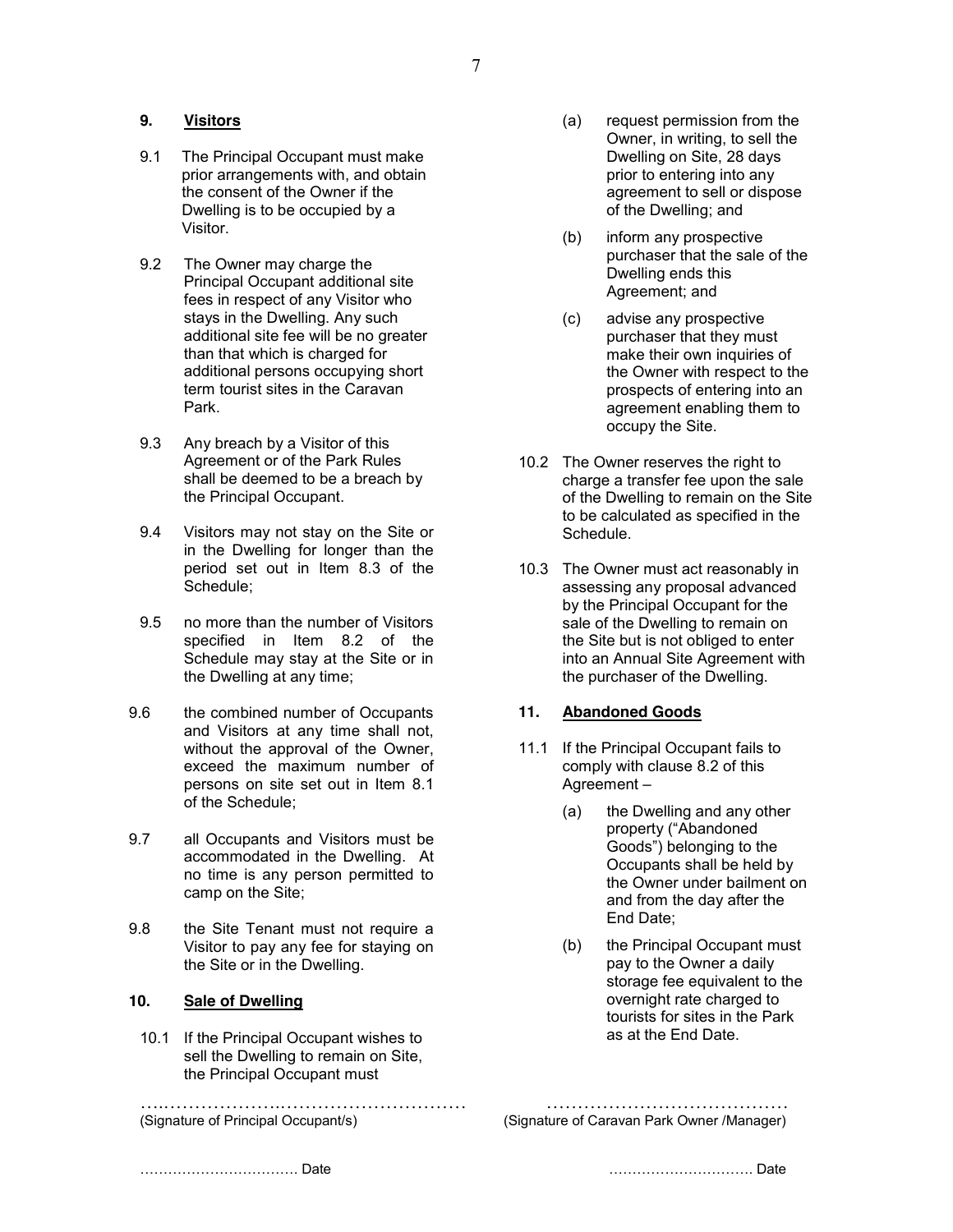## **9. Visitors**

- 9.1 The Principal Occupant must make prior arrangements with, and obtain the consent of the Owner if the Dwelling is to be occupied by a Visitor.
- 9.2 The Owner may charge the Principal Occupant additional site fees in respect of any Visitor who stays in the Dwelling. Any such additional site fee will be no greater than that which is charged for additional persons occupying short term tourist sites in the Caravan Park.
- 9.3 Any breach by a Visitor of this Agreement or of the Park Rules shall be deemed to be a breach by the Principal Occupant.
- 9.4 Visitors may not stay on the Site or in the Dwelling for longer than the period set out in Item 8.3 of the Schedule;
- 9.5 no more than the number of Visitors specified in Item 8.2 of the Schedule may stay at the Site or in the Dwelling at any time;
- 9.6 the combined number of Occupants and Visitors at any time shall not, without the approval of the Owner. exceed the maximum number of persons on site set out in Item 8.1 of the Schedule;
- 9.7 all Occupants and Visitors must be accommodated in the Dwelling. At no time is any person permitted to camp on the Site;
- 9.8 the Site Tenant must not require a Visitor to pay any fee for staying on the Site or in the Dwelling.

#### **10. Sale of Dwelling**

10.1 If the Principal Occupant wishes to sell the Dwelling to remain on Site, the Principal Occupant must

- (a) request permission from the Owner, in writing, to sell the Dwelling on Site, 28 days prior to entering into any agreement to sell or dispose of the Dwelling; and
- (b) inform any prospective purchaser that the sale of the Dwelling ends this Agreement; and
- (c) advise any prospective purchaser that they must make their own inquiries of the Owner with respect to the prospects of entering into an agreement enabling them to occupy the Site.
- 10.2 The Owner reserves the right to charge a transfer fee upon the sale of the Dwelling to remain on the Site to be calculated as specified in the Schedule.
- 10.3 The Owner must act reasonably in assessing any proposal advanced by the Principal Occupant for the sale of the Dwelling to remain on the Site but is not obliged to enter into an Annual Site Agreement with the purchaser of the Dwelling.

#### **11. Abandoned Goods**

- 11.1 If the Principal Occupant fails to comply with clause 8.2 of this Agreement –
	- (a) the Dwelling and any other property ("Abandoned Goods") belonging to the Occupants shall be held by the Owner under bailment on and from the day after the End Date;
	- (b) the Principal Occupant must pay to the Owner a daily storage fee equivalent to the overnight rate charged to tourists for sites in the Park as at the End Date.

….……………….………………………… ………………………………… (Signature of Principal Occupant/s) (Signature of Caravan Park Owner /Manager)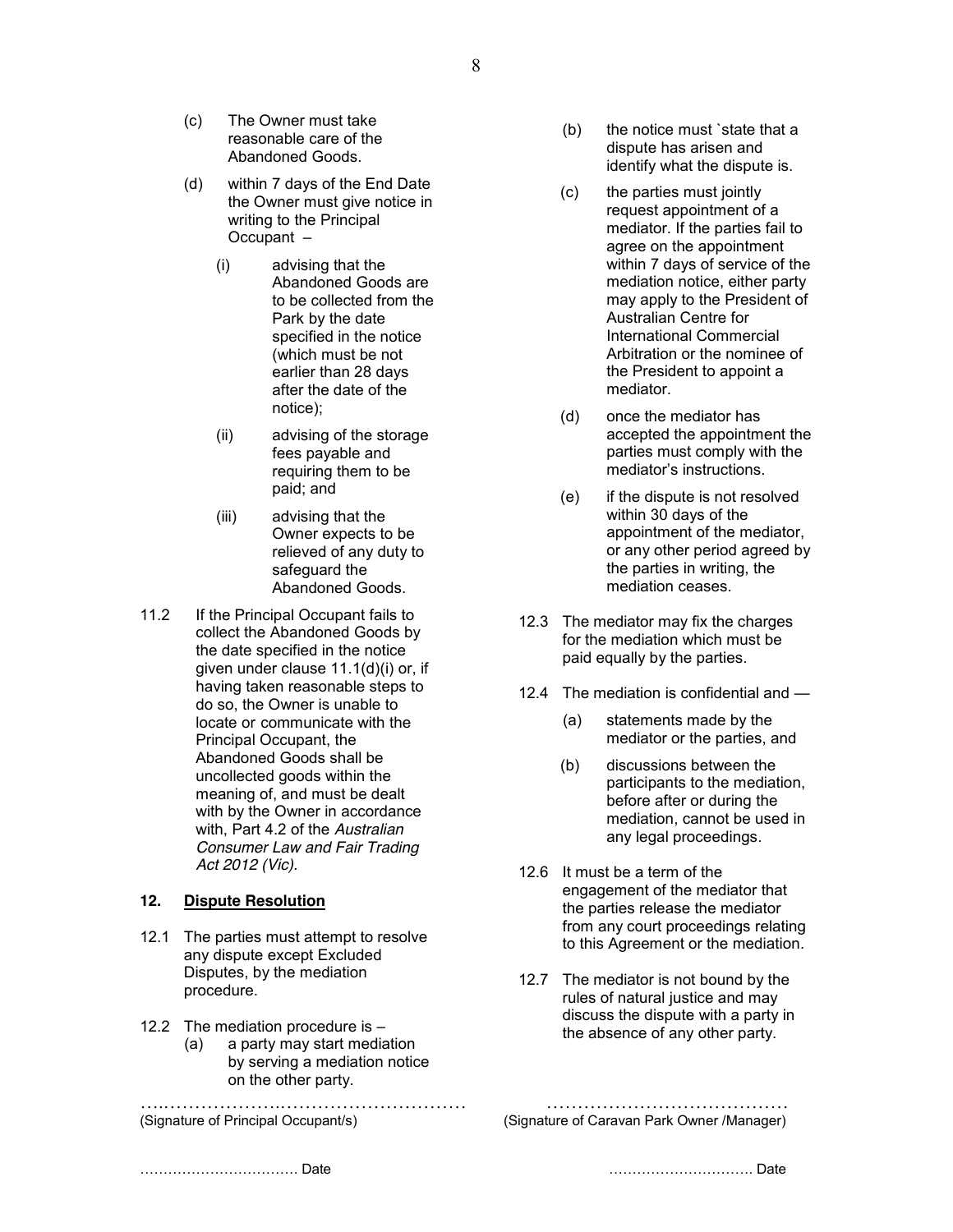- (c) The Owner must take reasonable care of the Abandoned Goods.
- (d) within 7 days of the End Date the Owner must give notice in writing to the Principal Occupant –
	- (i) advising that the Abandoned Goods are to be collected from the Park by the date specified in the notice (which must be not earlier than 28 days after the date of the notice);
	- (ii) advising of the storage fees payable and requiring them to be paid; and
	- (iii) advising that the Owner expects to be relieved of any duty to safeguard the Abandoned Goods.
- 11.2 If the Principal Occupant fails to collect the Abandoned Goods by the date specified in the notice given under clause 11.1(d)(i) or, if having taken reasonable steps to do so, the Owner is unable to locate or communicate with the Principal Occupant, the Abandoned Goods shall be uncollected goods within the meaning of, and must be dealt with by the Owner in accordance with, Part 4.2 of the *Australian Consumer Law and Fair Trading Act 2012 (Vic).*

#### **12. Dispute Resolution**

- 12.1 The parties must attempt to resolve any dispute except Excluded Disputes, by the mediation procedure.
- 12.2 The mediation procedure is
	- (a) a party may start mediation by serving a mediation notice on the other party.

- (b) the notice must `state that a dispute has arisen and identify what the dispute is.
- (c) the parties must jointly request appointment of a mediator. If the parties fail to agree on the appointment within 7 days of service of the mediation notice, either party may apply to the President of Australian Centre for International Commercial Arbitration or the nominee of the President to appoint a mediator.
- (d) once the mediator has accepted the appointment the parties must comply with the mediator's instructions.
- (e) if the dispute is not resolved within 30 days of the appointment of the mediator, or any other period agreed by the parties in writing, the mediation ceases.
- 12.3 The mediator may fix the charges for the mediation which must be paid equally by the parties.
- 12.4 The mediation is confidential and
	- (a) statements made by the mediator or the parties, and
	- (b) discussions between the participants to the mediation, before after or during the mediation, cannot be used in any legal proceedings.
- 12.6 It must be a term of the engagement of the mediator that the parties release the mediator from any court proceedings relating to this Agreement or the mediation.
- 12.7 The mediator is not bound by the rules of natural justice and may discuss the dispute with a party in the absence of any other party.

….……………….………………………… ………………………………… (Signature of Principal Occupant/s) (Signature of Caravan Park Owner /Manager)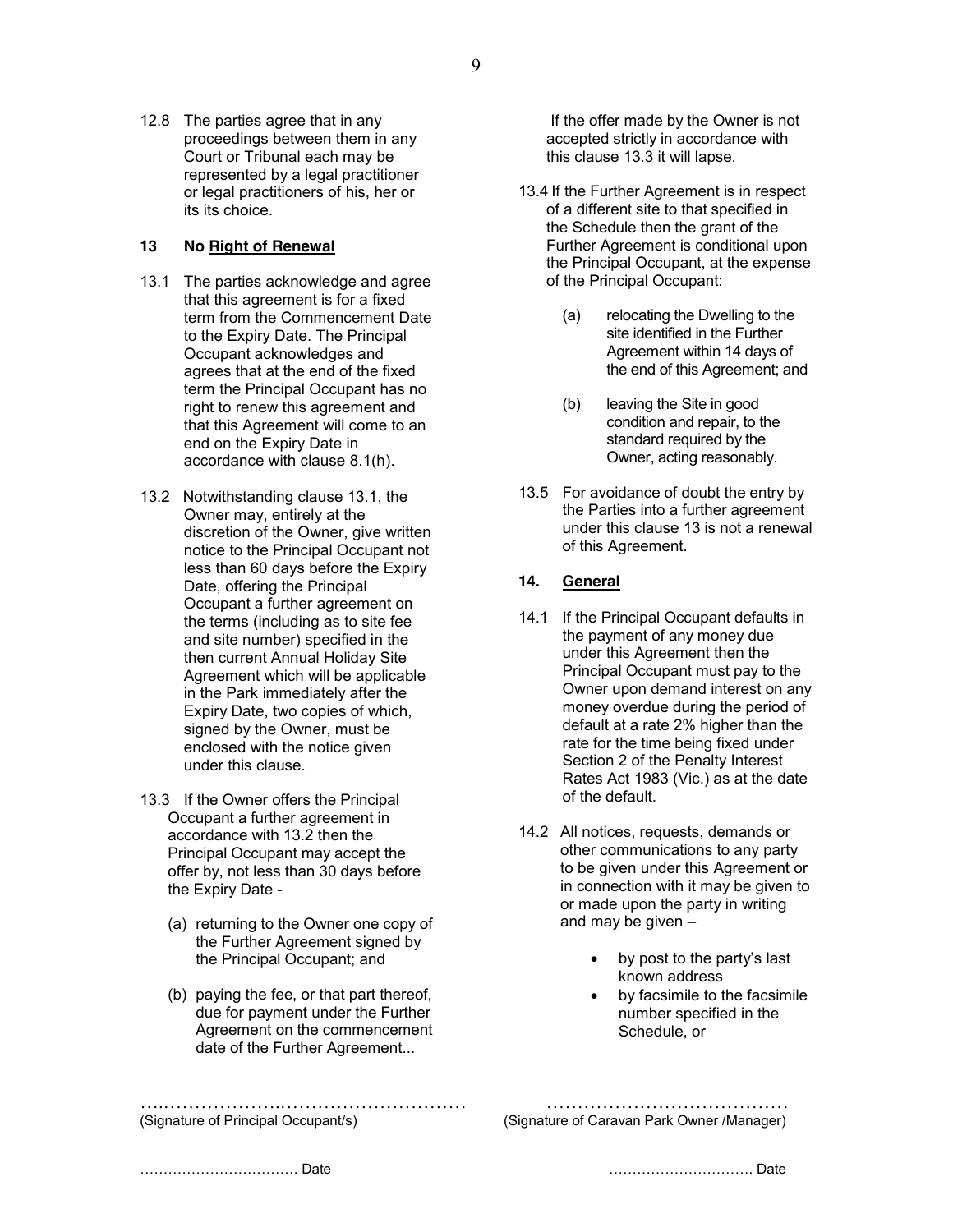12.8 The parties agree that in any proceedings between them in any Court or Tribunal each may be represented by a legal practitioner or legal practitioners of his, her or its its choice.

## **13 No Right of Renewal**

- 13.1 The parties acknowledge and agree that this agreement is for a fixed term from the Commencement Date to the Expiry Date. The Principal Occupant acknowledges and agrees that at the end of the fixed term the Principal Occupant has no right to renew this agreement and that this Agreement will come to an end on the Expiry Date in accordance with clause 8.1(h).
- 13.2 Notwithstanding clause 13.1, the Owner may, entirely at the discretion of the Owner, give written notice to the Principal Occupant not less than 60 days before the Expiry Date, offering the Principal Occupant a further agreement on the terms (including as to site fee and site number) specified in the then current Annual Holiday Site Agreement which will be applicable in the Park immediately after the Expiry Date, two copies of which, signed by the Owner, must be enclosed with the notice given under this clause.
- 13.3 If the Owner offers the Principal Occupant a further agreement in accordance with 13.2 then the Principal Occupant may accept the offer by, not less than 30 days before the Expiry Date -
	- (a) returning to the Owner one copy of the Further Agreement signed by the Principal Occupant; and
	- (b) paying the fee, or that part thereof, due for payment under the Further Agreement on the commencement date of the Further Agreement...

If the offer made by the Owner is not accepted strictly in accordance with this clause 13.3 it will lapse.

- 13.4 If the Further Agreement is in respect of a different site to that specified in the Schedule then the grant of the Further Agreement is conditional upon the Principal Occupant, at the expense of the Principal Occupant:
	- (a) relocating the Dwelling to the site identified in the Further Agreement within 14 days of the end of this Agreement; and
	- (b) leaving the Site in good condition and repair, to the standard required by the Owner, acting reasonably.
- 13.5 For avoidance of doubt the entry by the Parties into a further agreement under this clause 13 is not a renewal of this Agreement.

# **14. General**

- 14.1 If the Principal Occupant defaults in the payment of any money due under this Agreement then the Principal Occupant must pay to the Owner upon demand interest on any money overdue during the period of default at a rate 2% higher than the rate for the time being fixed under Section 2 of the Penalty Interest Rates Act 1983 (Vic.) as at the date of the default.
- 14.2 All notices, requests, demands or other communications to any party to be given under this Agreement or in connection with it may be given to or made upon the party in writing and may be given –
	- by post to the party's last known address
	- by facsimile to the facsimile number specified in the Schedule, or

….……………….………………………… …………………………………

(Signature of Principal Occupant/s) (Signature of Caravan Park Owner /Manager)